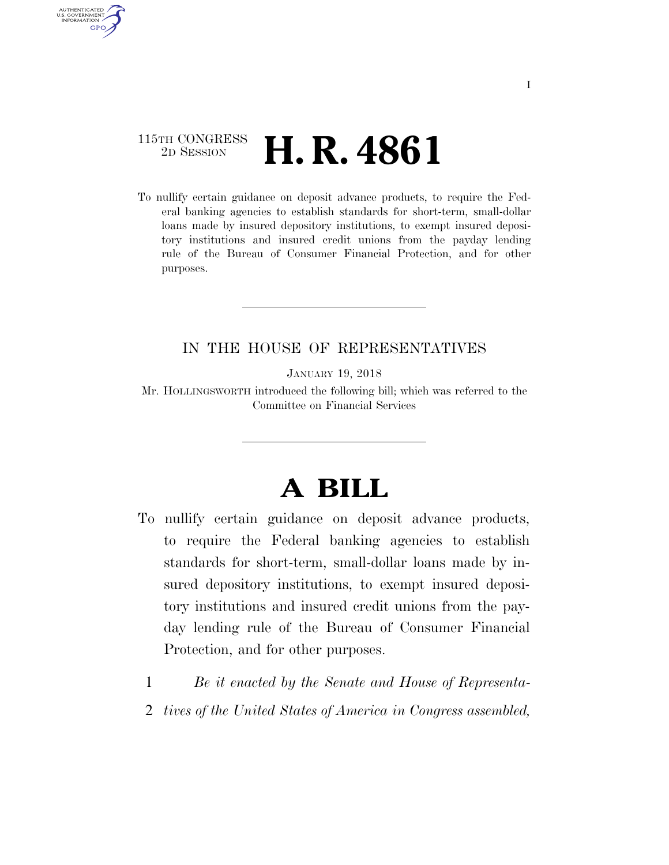### 115TH CONGRESS <sup>2D SESSION</sup> **H. R. 4861**

AUTHENTICATED U.S. GOVERNMENT GPO

> To nullify certain guidance on deposit advance products, to require the Federal banking agencies to establish standards for short-term, small-dollar loans made by insured depository institutions, to exempt insured depository institutions and insured credit unions from the payday lending rule of the Bureau of Consumer Financial Protection, and for other purposes.

#### IN THE HOUSE OF REPRESENTATIVES

JANUARY 19, 2018

Mr. HOLLINGSWORTH introduced the following bill; which was referred to the Committee on Financial Services

# **A BILL**

- To nullify certain guidance on deposit advance products, to require the Federal banking agencies to establish standards for short-term, small-dollar loans made by insured depository institutions, to exempt insured depository institutions and insured credit unions from the payday lending rule of the Bureau of Consumer Financial Protection, and for other purposes.
	- 1 *Be it enacted by the Senate and House of Representa-*
	- 2 *tives of the United States of America in Congress assembled,*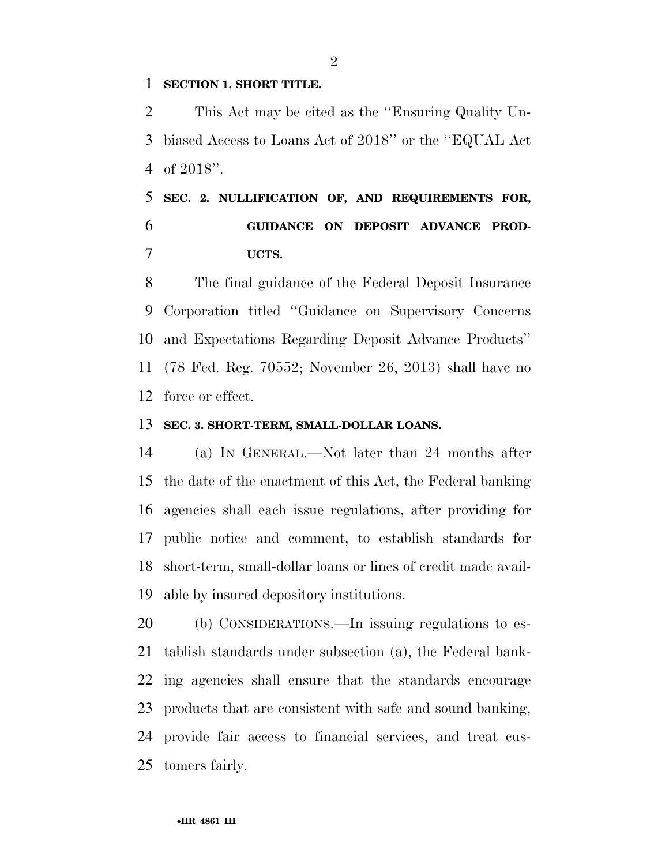#### **SECTION 1. SHORT TITLE.**

 This Act may be cited as the ''Ensuring Quality Un- biased Access to Loans Act of 2018'' or the ''EQUAL Act of 2018''.

## **SEC. 2. NULLIFICATION OF, AND REQUIREMENTS FOR, GUIDANCE ON DEPOSIT ADVANCE PROD-UCTS.**

 The final guidance of the Federal Deposit Insurance Corporation titled ''Guidance on Supervisory Concerns and Expectations Regarding Deposit Advance Products'' (78 Fed. Reg. 70552; November 26, 2013) shall have no force or effect.

#### **SEC. 3. SHORT-TERM, SMALL-DOLLAR LOANS.**

 (a) IN GENERAL.—Not later than 24 months after the date of the enactment of this Act, the Federal banking agencies shall each issue regulations, after providing for public notice and comment, to establish standards for short-term, small-dollar loans or lines of credit made avail-able by insured depository institutions.

 (b) CONSIDERATIONS.—In issuing regulations to es- tablish standards under subsection (a), the Federal bank- ing agencies shall ensure that the standards encourage products that are consistent with safe and sound banking, provide fair access to financial services, and treat cus-tomers fairly.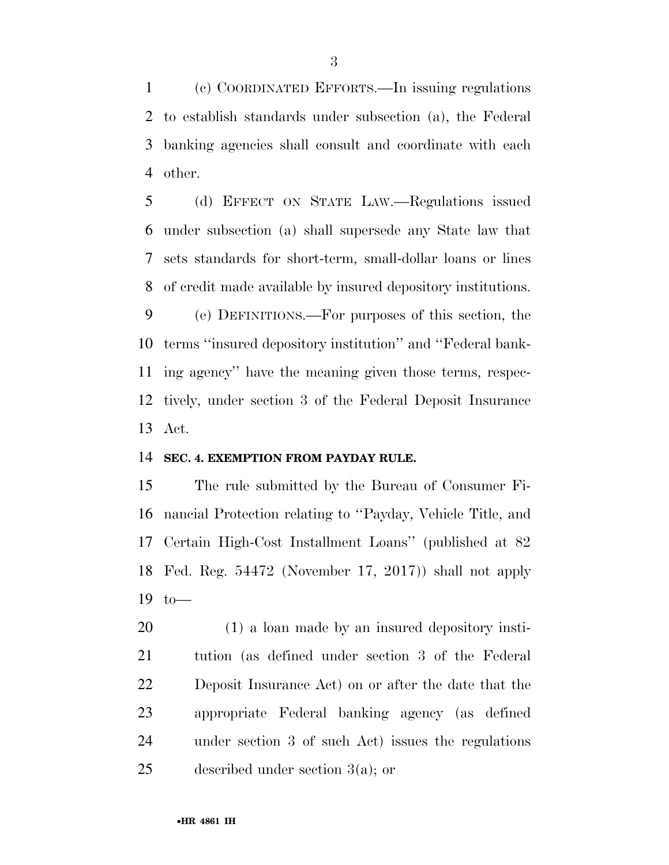(c) COORDINATED EFFORTS.—In issuing regulations to establish standards under subsection (a), the Federal banking agencies shall consult and coordinate with each other.

 (d) EFFECT ON STATE LAW.—Regulations issued under subsection (a) shall supersede any State law that sets standards for short-term, small-dollar loans or lines of credit made available by insured depository institutions.

 (e) DEFINITIONS.—For purposes of this section, the terms ''insured depository institution'' and ''Federal bank- ing agency'' have the meaning given those terms, respec- tively, under section 3 of the Federal Deposit Insurance Act.

#### **SEC. 4. EXEMPTION FROM PAYDAY RULE.**

 The rule submitted by the Bureau of Consumer Fi- nancial Protection relating to ''Payday, Vehicle Title, and Certain High-Cost Installment Loans'' (published at 82 Fed. Reg. 54472 (November 17, 2017)) shall not apply to—

 (1) a loan made by an insured depository insti- tution (as defined under section 3 of the Federal Deposit Insurance Act) on or after the date that the appropriate Federal banking agency (as defined under section 3 of such Act) issues the regulations described under section 3(a); or